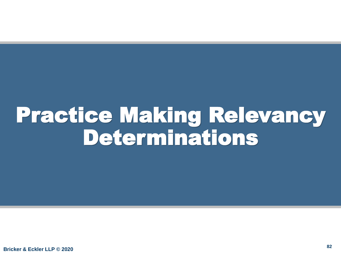## Practice Making Relevancy Determinations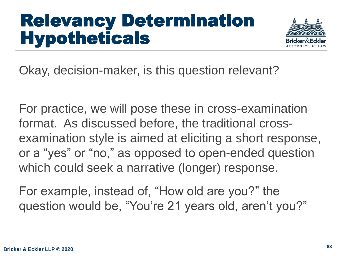#### Relevancy Determination Hypotheticals



Okay, decision-maker, is this question relevant?

For practice, we will pose these in cross-examination format. As discussed before, the traditional crossexamination style is aimed at eliciting a short response, or a "yes" or "no," as opposed to open-ended question which could seek a narrative (longer) response.

For example, instead of, "How old are you?" the question would be, "You're 21 years old, aren't you?"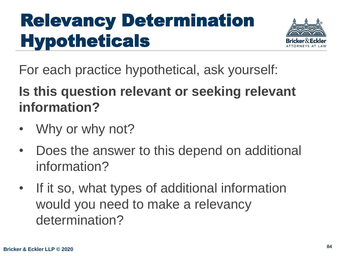### Relevancy Determination **Hypotheticals**



For each practice hypothetical, ask yourself:

**Is this question relevant or seeking relevant information?** 

- Why or why not?
- Does the answer to this depend on additional information?
- If it so, what types of additional information would you need to make a relevancy determination?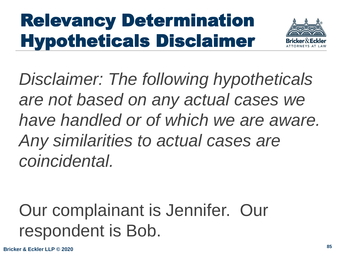## Relevancy Determination Hypotheticals Disclaimer



*Disclaimer: The following hypotheticals are not based on any actual cases we have handled or of which we are aware. Any similarities to actual cases are coincidental.* 

#### Our complainant is Jennifer. Our respondent is Bob.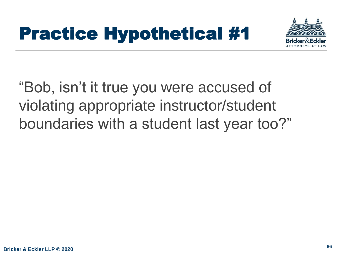

"Bob, isn't it true you were accused of violating appropriate instructor/student boundaries with a student last year too?"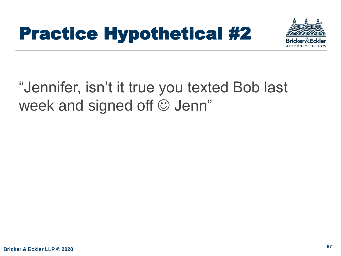

#### "Jennifer, isn't it true you texted Bob last week and signed off  $\odot$  Jenn"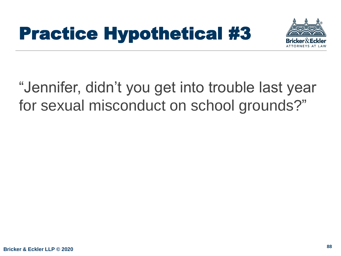

#### "Jennifer, didn't you get into trouble last year for sexual misconduct on school grounds?"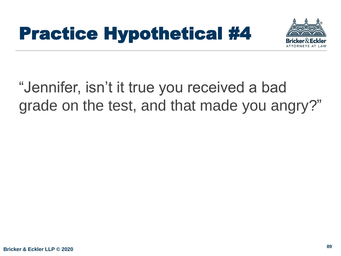

#### "Jennifer, isn't it true you received a bad grade on the test, and that made you angry?"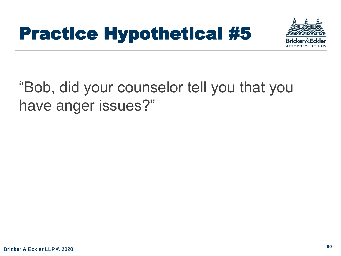

#### "Bob, did your counselor tell you that you have anger issues?"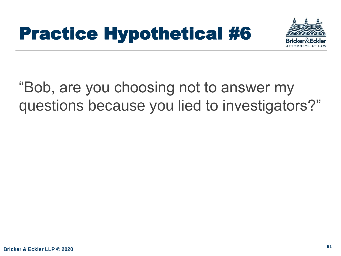

#### "Bob, are you choosing not to answer my questions because you lied to investigators?"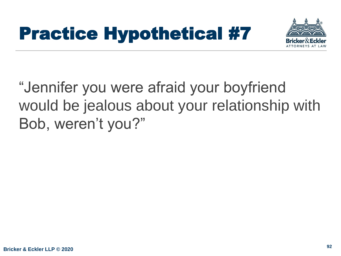

"Jennifer you were afraid your boyfriend would be jealous about your relationship with Bob, weren't you?"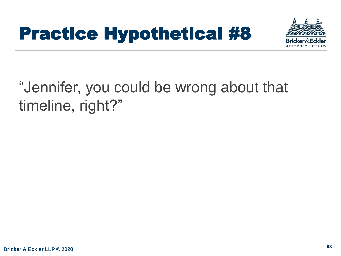

#### "Jennifer, you could be wrong about that timeline, right?"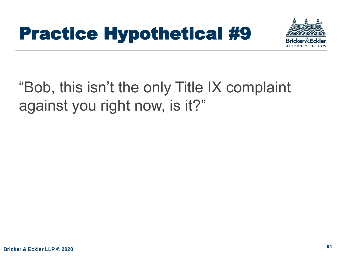

#### "Bob, this isn't the only Title IX complaint against you right now, is it?"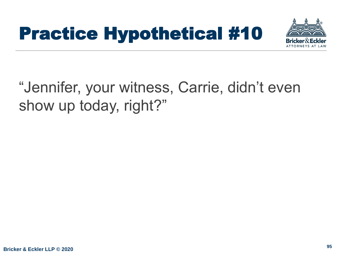

#### "Jennifer, your witness, Carrie, didn't even show up today, right?"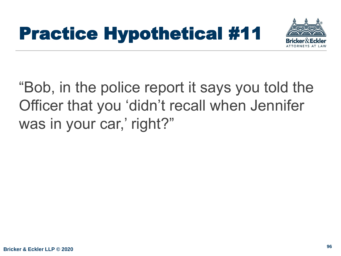

"Bob, in the police report it says you told the Officer that you 'didn't recall when Jennifer was in your car,' right?"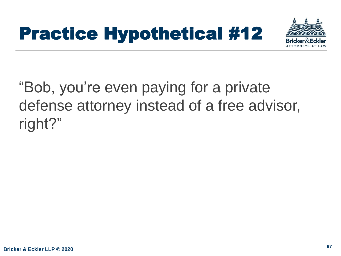

#### "Bob, you're even paying for a private defense attorney instead of a free advisor, right?"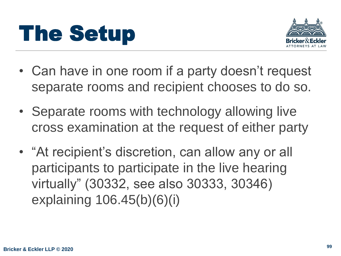



- Can have in one room if a party doesn't request separate rooms and recipient chooses to do so.
- Separate rooms with technology allowing live cross examination at the request of either party
- "At recipient's discretion, can allow any or all participants to participate in the live hearing virtually" (30332, see also 30333, 30346) explaining 106.45(b)(6)(i)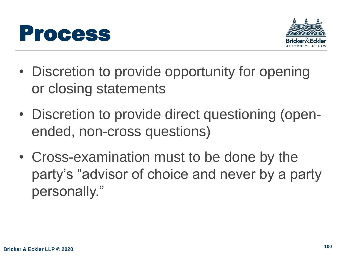



- Discretion to provide opportunity for opening or closing statements
- Discretion to provide direct questioning (openended, non-cross questions)
- Cross-examination must to be done by the party's "advisor of choice and never by a party personally."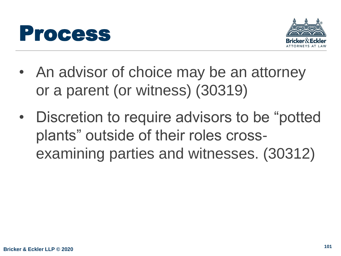



- An advisor of choice may be an attorney or a parent (or witness) (30319)
- Discretion to require advisors to be "potted plants" outside of their roles crossexamining parties and witnesses. (30312)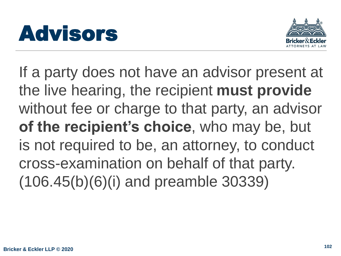



If a party does not have an advisor present at the live hearing, the recipient **must provide**  without fee or charge to that party, an advisor **of the recipient's choice**, who may be, but is not required to be, an attorney, to conduct cross-examination on behalf of that party. (106.45(b)(6)(i) and preamble 30339)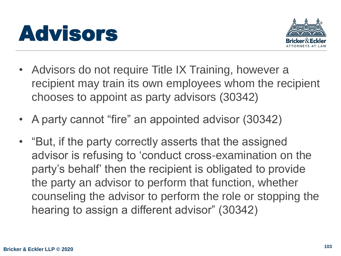



- Advisors do not require Title IX Training, however a recipient may train its own employees whom the recipient chooses to appoint as party advisors (30342)
- A party cannot "fire" an appointed advisor (30342)
- "But, if the party correctly asserts that the assigned advisor is refusing to 'conduct cross-examination on the party's behalf' then the recipient is obligated to provide the party an advisor to perform that function, whether counseling the advisor to perform the role or stopping the hearing to assign a different advisor" (30342)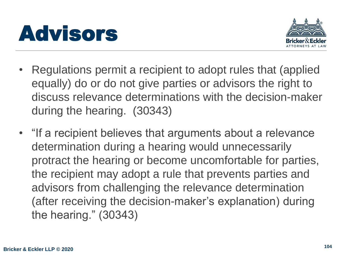



- Regulations permit a recipient to adopt rules that (applied equally) do or do not give parties or advisors the right to discuss relevance determinations with the decision-maker during the hearing. (30343)
- "If a recipient believes that arguments about a relevance determination during a hearing would unnecessarily protract the hearing or become uncomfortable for parties, the recipient may adopt a rule that prevents parties and advisors from challenging the relevance determination (after receiving the decision-maker's explanation) during the hearing." (30343)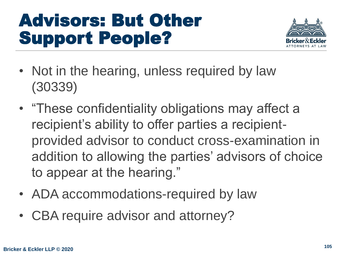#### Advisors: But Other Support People?



- Not in the hearing, unless required by law (30339)
- "These confidentiality obligations may affect a recipient's ability to offer parties a recipientprovided advisor to conduct cross-examination in addition to allowing the parties' advisors of choice to appear at the hearing."
- ADA accommodations-required by law
- CBA require advisor and attorney?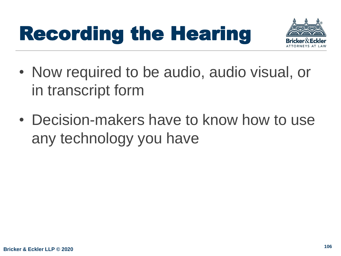# Recording the Hearing



- Now required to be audio, audio visual, or in transcript form
- Decision-makers have to know how to use any technology you have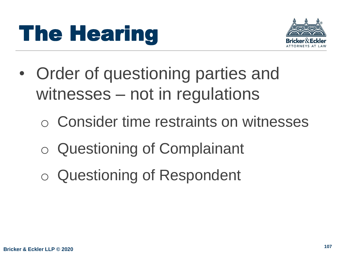

- Order of questioning parties and witnesses – not in regulations
	- o Consider time restraints on witnesses
	- o Questioning of Complainant
	- o Questioning of Respondent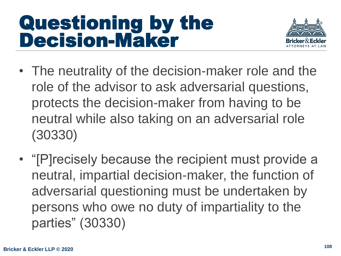#### Questioning by the Decision-Maker



- The neutrality of the decision-maker role and the role of the advisor to ask adversarial questions, protects the decision-maker from having to be neutral while also taking on an adversarial role (30330)
- "[P]recisely because the recipient must provide a neutral, impartial decision-maker, the function of adversarial questioning must be undertaken by persons who owe no duty of impartiality to the parties" (30330)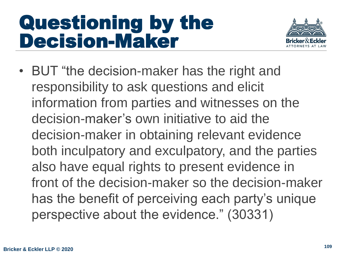#### Questioning by the Decision-Maker



• BUT "the decision-maker has the right and responsibility to ask questions and elicit information from parties and witnesses on the decision-maker's own initiative to aid the decision-maker in obtaining relevant evidence both inculpatory and exculpatory, and the parties also have equal rights to present evidence in front of the decision-maker so the decision-maker has the benefit of perceiving each party's unique perspective about the evidence." (30331)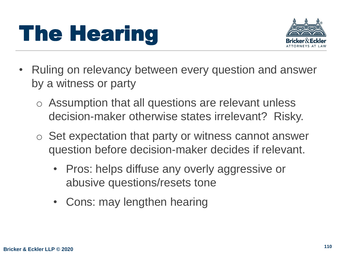

- Ruling on relevancy between every question and answer by a witness or party
	- o Assumption that all questions are relevant unless decision-maker otherwise states irrelevant? Risky.
	- o Set expectation that party or witness cannot answer question before decision-maker decides if relevant.
		- Pros: helps diffuse any overly aggressive or abusive questions/resets tone
		- Cons: may lengthen hearing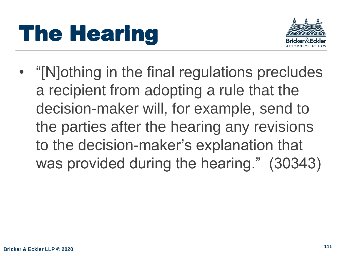

• "[N]othing in the final regulations precludes a recipient from adopting a rule that the decision-maker will, for example, send to the parties after the hearing any revisions to the decision-maker's explanation that was provided during the hearing." (30343)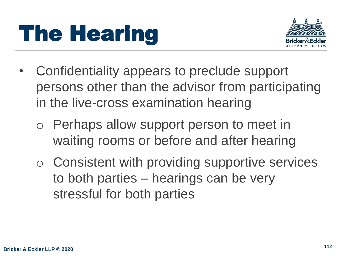

- Confidentiality appears to preclude support persons other than the advisor from participating in the live-cross examination hearing
	- o Perhaps allow support person to meet in waiting rooms or before and after hearing
	- o Consistent with providing supportive services to both parties – hearings can be very stressful for both parties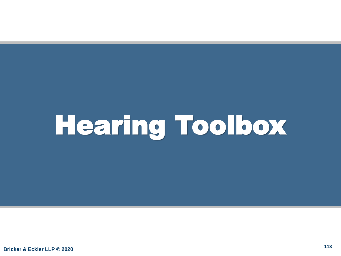# Hearing Toolbox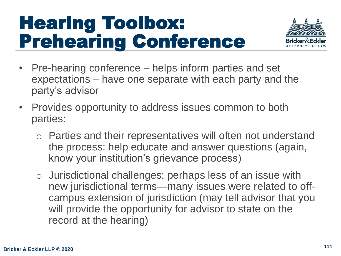#### Hearing Toolbox: Prehearing Conference



- Pre-hearing conference helps inform parties and set expectations – have one separate with each party and the party's advisor
- Provides opportunity to address issues common to both parties:
	- o Parties and their representatives will often not understand the process: help educate and answer questions (again, know your institution's grievance process)
	- o Jurisdictional challenges: perhaps less of an issue with new jurisdictional terms—many issues were related to offcampus extension of jurisdiction (may tell advisor that you will provide the opportunity for advisor to state on the record at the hearing)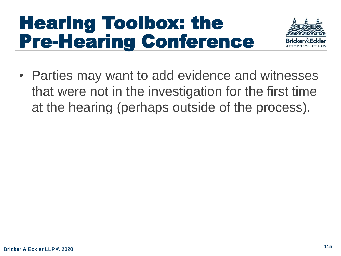#### Hearing Toolbox: the Pre-Hearing Conference



• Parties may want to add evidence and witnesses that were not in the investigation for the first time at the hearing (perhaps outside of the process).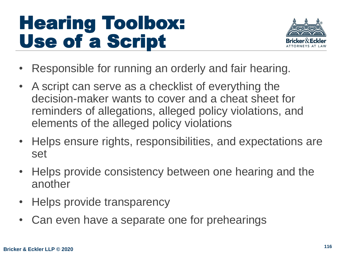#### Hearing Toolbox: Use of a Script



- Responsible for running an orderly and fair hearing.
- A script can serve as a checklist of everything the decision-maker wants to cover and a cheat sheet for reminders of allegations, alleged policy violations, and elements of the alleged policy violations
- Helps ensure rights, responsibilities, and expectations are set
- Helps provide consistency between one hearing and the another
- Helps provide transparency
- Can even have a separate one for prehearings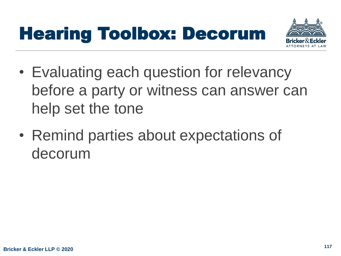## Hearing Toolbox: Decorum



- Evaluating each question for relevancy before a party or witness can answer can help set the tone
- Remind parties about expectations of decorum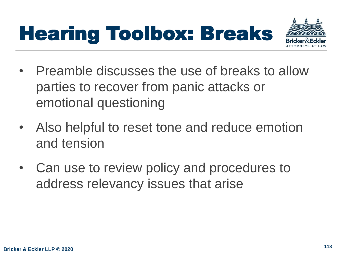



- Preamble discusses the use of breaks to allow parties to recover from panic attacks or emotional questioning
- Also helpful to reset tone and reduce emotion and tension
- Can use to review policy and procedures to address relevancy issues that arise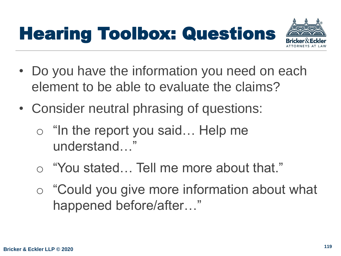## Hearing Toolbox: Questions



- Do you have the information you need on each element to be able to evaluate the claims?
- Consider neutral phrasing of questions:
	- "In the report you said... Help me understand…"
	- o "You stated… Tell me more about that."
	- o "Could you give more information about what happened before/after…"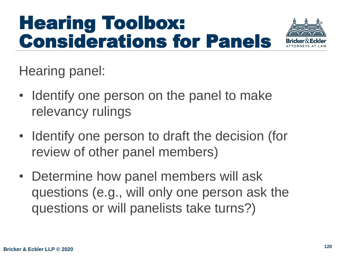## Hearing Toolbox: Considerations for Panels



Hearing panel:

- Identify one person on the panel to make relevancy rulings
- Identify one person to draft the decision (for review of other panel members)
- Determine how panel members will ask questions (e.g., will only one person ask the questions or will panelists take turns?)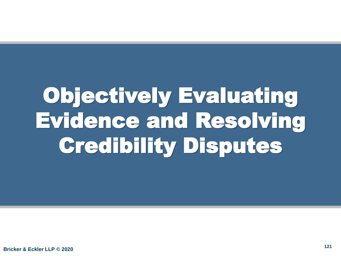# Objectively Evaluating Evidence and Resolving Credibility Disputes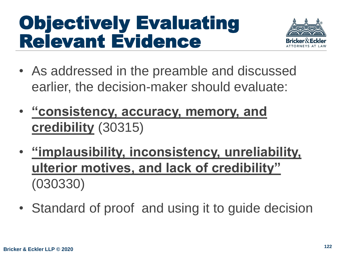## Objectively Evaluating Relevant Evidence



- As addressed in the preamble and discussed earlier, the decision-maker should evaluate:
- **"consistency, accuracy, memory, and credibility** (30315)
- **"implausibility, inconsistency, unreliability, ulterior motives, and lack of credibility"** (030330)
- Standard of proof and using it to guide decision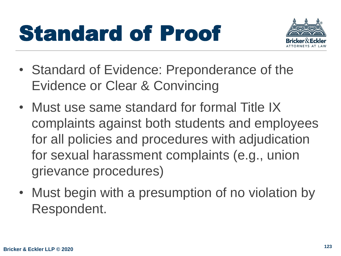# Standard of Proof



- Standard of Evidence: Preponderance of the Evidence or Clear & Convincing
- Must use same standard for formal Title IX complaints against both students and employees for all policies and procedures with adjudication for sexual harassment complaints (e.g., union grievance procedures)
- Must begin with a presumption of no violation by Respondent.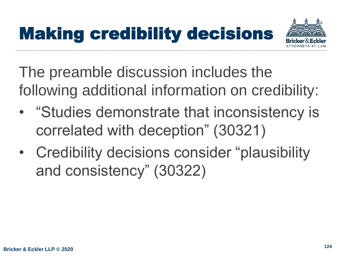## Making credibility decisions



The preamble discussion includes the following additional information on credibility:

- "Studies demonstrate that inconsistency is correlated with deception" (30321)
- Credibility decisions consider "plausibility and consistency" (30322)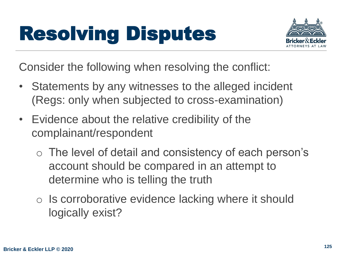

Consider the following when resolving the conflict:

- Statements by any witnesses to the alleged incident (Regs: only when subjected to cross-examination)
- Evidence about the relative credibility of the complainant/respondent
	- o The level of detail and consistency of each person's account should be compared in an attempt to determine who is telling the truth
	- o Is corroborative evidence lacking where it should logically exist?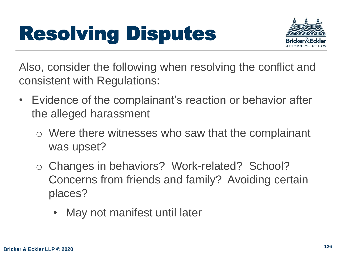

Also, consider the following when resolving the conflict and consistent with Regulations:

- Evidence of the complainant's reaction or behavior after the alleged harassment
	- o Were there witnesses who saw that the complainant was upset?
	- o Changes in behaviors? Work-related? School? Concerns from friends and family? Avoiding certain places?
		- May not manifest until later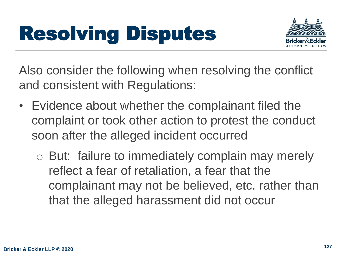

Also consider the following when resolving the conflict and consistent with Regulations:

- Evidence about whether the complainant filed the complaint or took other action to protest the conduct soon after the alleged incident occurred
	- o But: failure to immediately complain may merely reflect a fear of retaliation, a fear that the complainant may not be believed, etc. rather than that the alleged harassment did not occur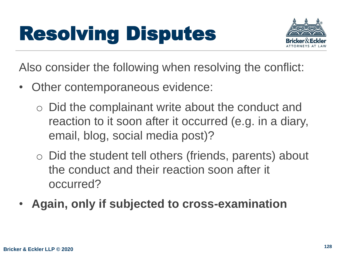

Also consider the following when resolving the conflict:

- Other contemporaneous evidence:
	- o Did the complainant write about the conduct and reaction to it soon after it occurred (e.g. in a diary, email, blog, social media post)?
	- o Did the student tell others (friends, parents) about the conduct and their reaction soon after it occurred?
- **Again, only if subjected to cross-examination**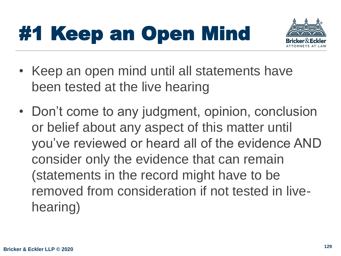# #1 Keep an Open Mind



- Keep an open mind until all statements have been tested at the live hearing
- Don't come to any judgment, opinion, conclusion or belief about any aspect of this matter until you've reviewed or heard all of the evidence AND consider only the evidence that can remain (statements in the record might have to be removed from consideration if not tested in livehearing)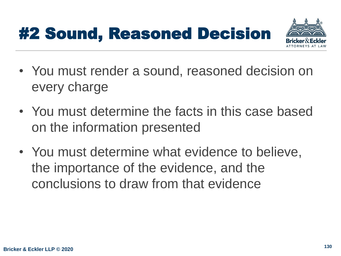#### #2 Sound, Reasoned Decision



- You must render a sound, reasoned decision on every charge
- You must determine the facts in this case based on the information presented
- You must determine what evidence to believe, the importance of the evidence, and the conclusions to draw from that evidence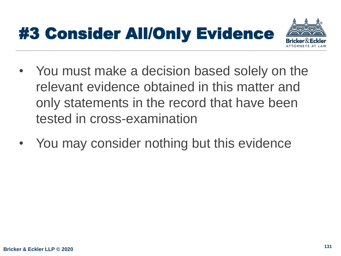### #3 Consider All/Only Evidence



- You must make a decision based solely on the relevant evidence obtained in this matter and only statements in the record that have been tested in cross-examination
- You may consider nothing but this evidence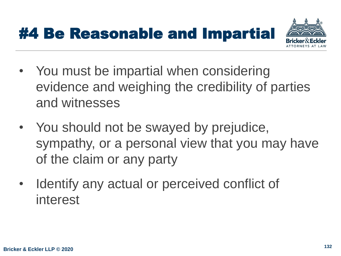



- You must be impartial when considering evidence and weighing the credibility of parties and witnesses
- You should not be swayed by prejudice, sympathy, or a personal view that you may have of the claim or any party
- Identify any actual or perceived conflict of interest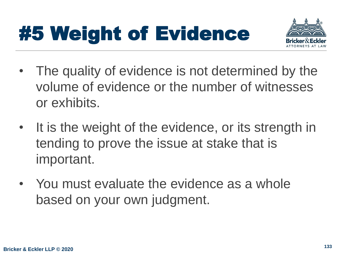# #5 Weight of Evidence



- The quality of evidence is not determined by the volume of evidence or the number of witnesses or exhibits.
- It is the weight of the evidence, or its strength in tending to prove the issue at stake that is important.
- You must evaluate the evidence as a whole based on your own judgment.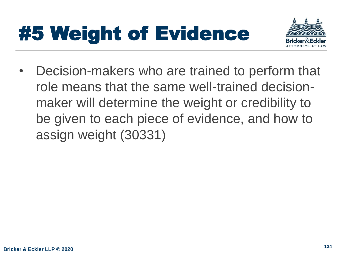# #5 Weight of Evidence



• Decision-makers who are trained to perform that role means that the same well-trained decisionmaker will determine the weight or credibility to be given to each piece of evidence, and how to assign weight (30331)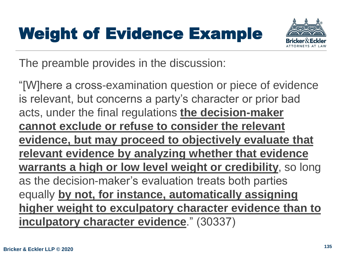### Weight of Evidence Example



The preamble provides in the discussion:

"[W]here a cross-examination question or piece of evidence is relevant, but concerns a party's character or prior bad acts, under the final regulations **the decision-maker cannot exclude or refuse to consider the relevant evidence, but may proceed to objectively evaluate that relevant evidence by analyzing whether that evidence warrants a high or low level weight or credibility**, so long as the decision-maker's evaluation treats both parties equally **by not, for instance, automatically assigning higher weight to exculpatory character evidence than to inculpatory character evidence**." (30337)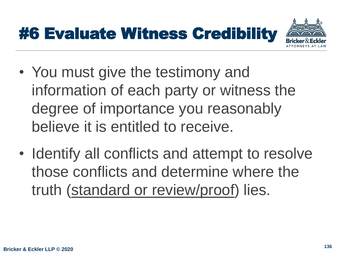## #6 Evaluate Witness Credibility



- You must give the testimony and information of each party or witness the degree of importance you reasonably believe it is entitled to receive.
- Identify all conflicts and attempt to resolve those conflicts and determine where the truth (standard or review/proof) lies.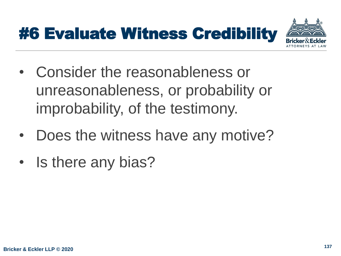## #6 Evaluate Witness Credibility



- Consider the reasonableness or unreasonableness, or probability or improbability, of the testimony.
- Does the witness have any motive?
- Is there any bias?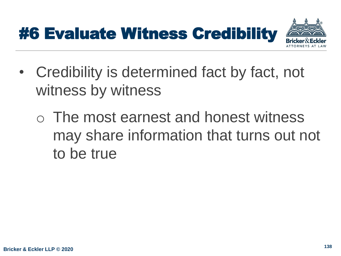## #6 Evaluate Witness Credibility



- Credibility is determined fact by fact, not witness by witness
	- o The most earnest and honest witness may share information that turns out not to be true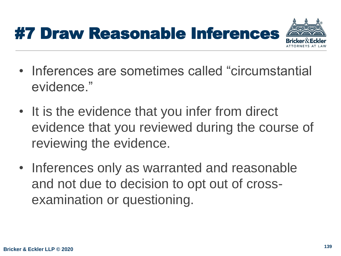

- Inferences are sometimes called "circumstantial evidence."
- It is the evidence that you infer from direct evidence that you reviewed during the course of reviewing the evidence.
- Inferences only as warranted and reasonable and not due to decision to opt out of crossexamination or questioning.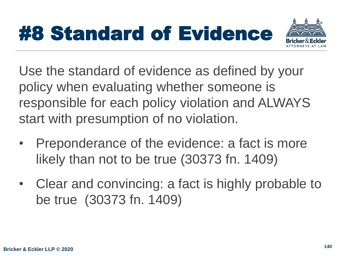# #8 Standard of Evidence



Use the standard of evidence as defined by your policy when evaluating whether someone is responsible for each policy violation and ALWAYS start with presumption of no violation.

- Preponderance of the evidence: a fact is more likely than not to be true (30373 fn. 1409)
- Clear and convincing: a fact is highly probable to be true (30373 fn. 1409)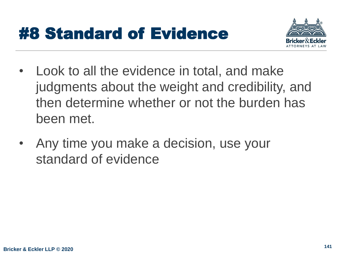#### #8 Standard of Evidence



- Look to all the evidence in total, and make judgments about the weight and credibility, and then determine whether or not the burden has been met.
- Any time you make a decision, use your standard of evidence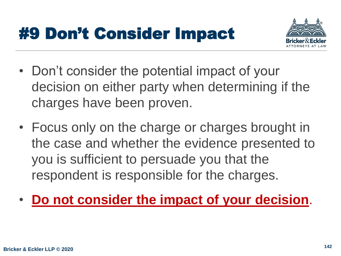#### #9 Don't Consider Impact



- Don't consider the potential impact of your decision on either party when determining if the charges have been proven.
- Focus only on the charge or charges brought in the case and whether the evidence presented to you is sufficient to persuade you that the respondent is responsible for the charges.
- **Do not consider the impact of your decision**.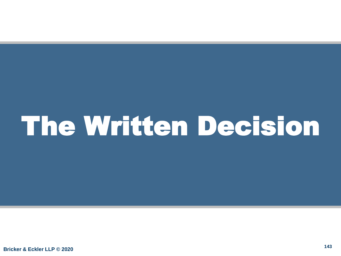# The Written Decision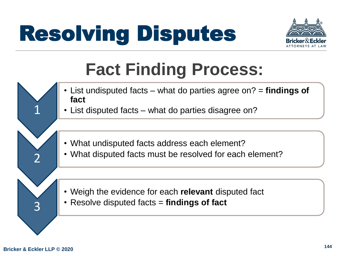

## **Fact Finding Process:**

- List undisputed facts what do parties agree on? = **findings of fact**
	- List disputed facts what do parties disagree on?
	- What undisputed facts address each element?
	- What disputed facts must be resolved for each element?

- Weigh the evidence for each **relevant** disputed fact
- Resolve disputed facts = **findings of fact**

3

1

2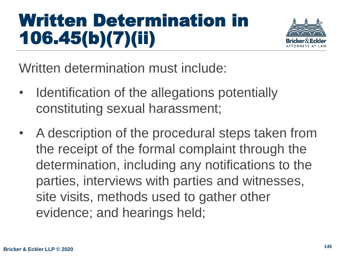## Written Determination in 106.45(b)(7)(ii)



Written determination must include:

- Identification of the allegations potentially constituting sexual harassment;
- A description of the procedural steps taken from the receipt of the formal complaint through the determination, including any notifications to the parties, interviews with parties and witnesses, site visits, methods used to gather other evidence; and hearings held;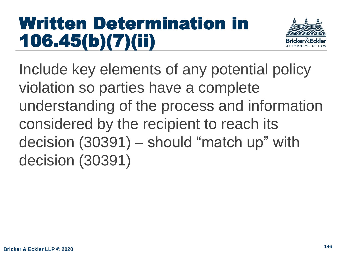### Written Determination in 106.45(b)(7)(ii)



Include key elements of any potential policy violation so parties have a complete understanding of the process and information considered by the recipient to reach its decision (30391) – should "match up" with decision (30391)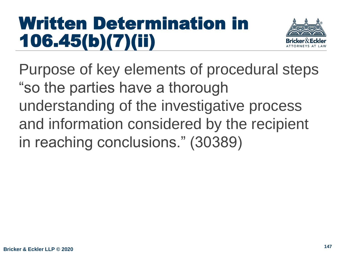### Written Determination in 106.45(b)(7)(ii)



Purpose of key elements of procedural steps "so the parties have a thorough understanding of the investigative process and information considered by the recipient in reaching conclusions." (30389)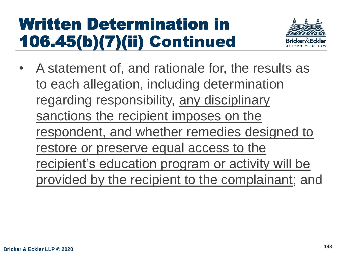

• A statement of, and rationale for, the results as to each allegation, including determination regarding responsibility, any disciplinary sanctions the recipient imposes on the respondent, and whether remedies designed to restore or preserve equal access to the recipient's education program or activity will be provided by the recipient to the complainant; and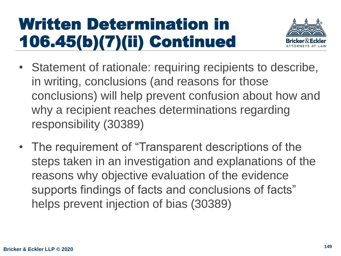

- Statement of rationale: requiring recipients to describe, in writing, conclusions (and reasons for those conclusions) will help prevent confusion about how and why a recipient reaches determinations regarding responsibility (30389)
- The requirement of "Transparent descriptions of the steps taken in an investigation and explanations of the reasons why objective evaluation of the evidence supports findings of facts and conclusions of facts" helps prevent injection of bias (30389)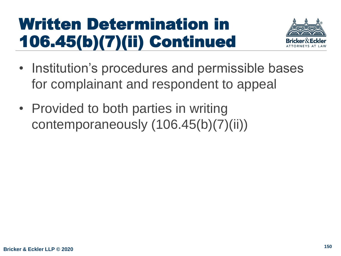

- Institution's procedures and permissible bases for complainant and respondent to appeal
- Provided to both parties in writing contemporaneously (106.45(b)(7)(ii))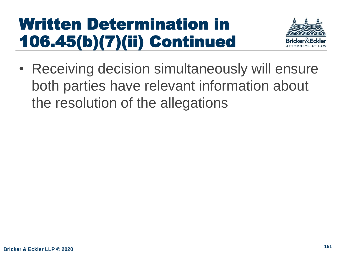

• Receiving decision simultaneously will ensure both parties have relevant information about the resolution of the allegations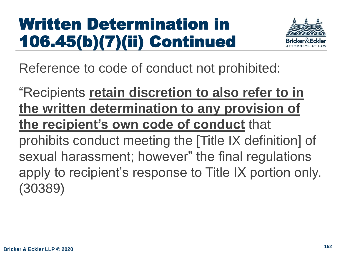

Reference to code of conduct not prohibited:

"Recipients **retain discretion to also refer to in the written determination to any provision of the recipient's own code of conduct** that prohibits conduct meeting the [Title IX definition] of sexual harassment; however" the final regulations apply to recipient's response to Title IX portion only. (30389)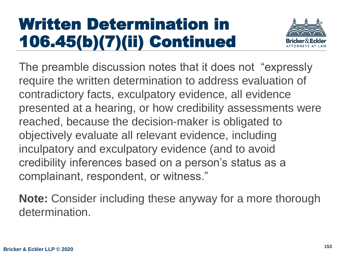

The preamble discussion notes that it does not "expressly require the written determination to address evaluation of contradictory facts, exculpatory evidence, all evidence presented at a hearing, or how credibility assessments were reached, because the decision-maker is obligated to objectively evaluate all relevant evidence, including inculpatory and exculpatory evidence (and to avoid credibility inferences based on a person's status as a complainant, respondent, or witness."

**Note:** Consider including these anyway for a more thorough determination.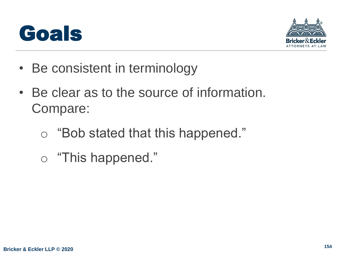



- Be consistent in terminology
- Be clear as to the source of information. Compare:
	- o "Bob stated that this happened."
	- o "This happened."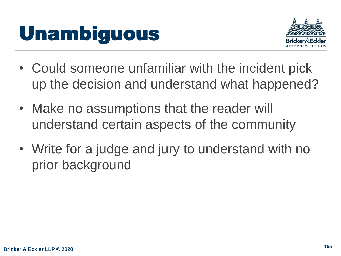# Unambiguous



- Could someone unfamiliar with the incident pick up the decision and understand what happened?
- Make no assumptions that the reader will understand certain aspects of the community
- Write for a judge and jury to understand with no prior background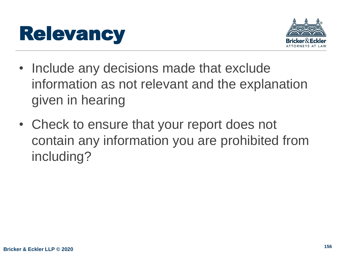



- Include any decisions made that exclude information as not relevant and the explanation given in hearing
- Check to ensure that your report does not contain any information you are prohibited from including?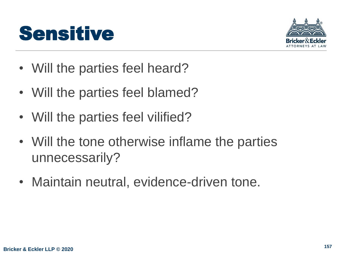



- Will the parties feel heard?
- Will the parties feel blamed?
- Will the parties feel vilified?
- Will the tone otherwise inflame the parties unnecessarily?
- Maintain neutral, evidence-driven tone.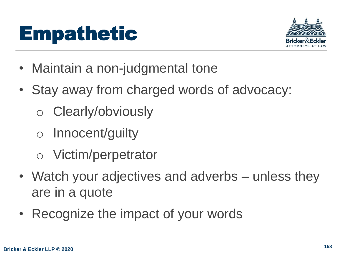# Empathetic



- Maintain a non-judgmental tone
- Stay away from charged words of advocacy:
	- o Clearly/obviously
	- o Innocent/guilty
	- o Victim/perpetrator
- Watch your adjectives and adverbs unless they are in a quote
- Recognize the impact of your words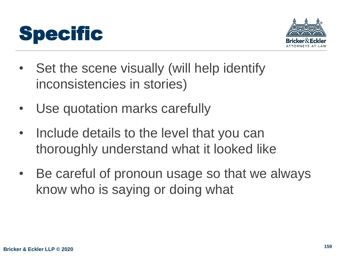



- Set the scene visually (will help identify inconsistencies in stories)
- Use quotation marks carefully
- Include details to the level that you can thoroughly understand what it looked like
- Be careful of pronoun usage so that we always know who is saying or doing what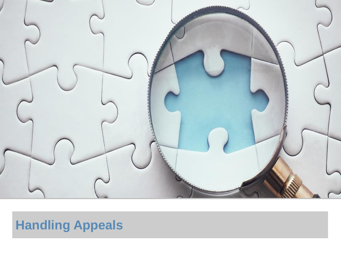

#### **Handling Appeals**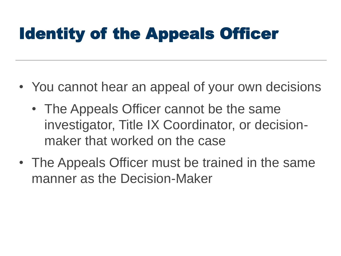## Identity of the Appeals Officer

- You cannot hear an appeal of your own decisions
	- The Appeals Officer cannot be the same investigator, Title IX Coordinator, or decisionmaker that worked on the case
- The Appeals Officer must be trained in the same manner as the Decision-Maker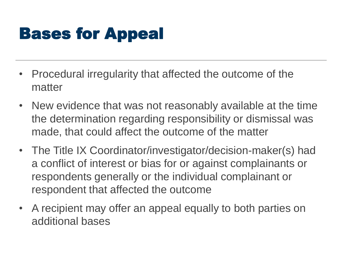## Bases for Appeal

- Procedural irregularity that affected the outcome of the matter
- New evidence that was not reasonably available at the time the determination regarding responsibility or dismissal was made, that could affect the outcome of the matter
- The Title IX Coordinator/investigator/decision-maker(s) had a conflict of interest or bias for or against complainants or respondents generally or the individual complainant or respondent that affected the outcome
- A recipient may offer an appeal equally to both parties on additional bases